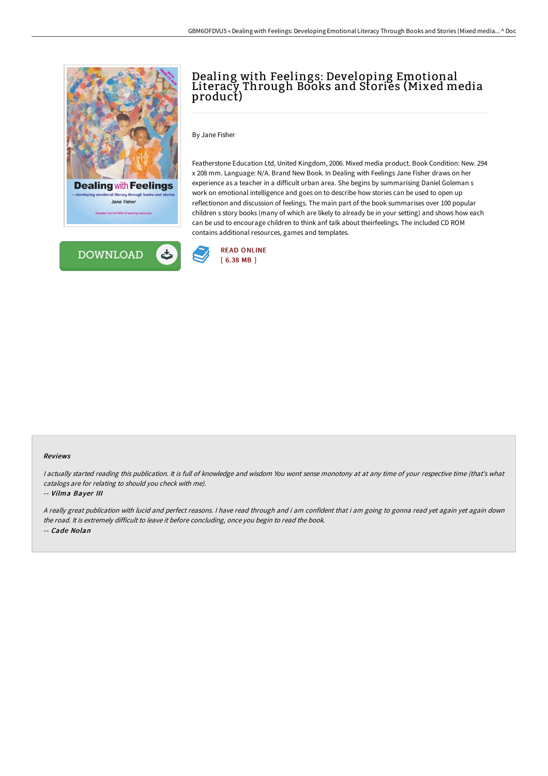

**DOWNLOAD** 

## Dealing with Feelings: Developing Emotional Literacy Through Books and Stories (Mixed media product)

By Jane Fisher

Featherstone Education Ltd, United Kingdom, 2006. Mixed media product. Book Condition: New. 294 x 208 mm. Language: N/A. Brand New Book. In Dealing with Feelings Jane Fisher draws on her experience as a teacher in a difficult urban area. She begins by summarising Daniel Goleman s work on emotional intelligence and goes on to describe how stories can be used to open up reflectionon and discussion of feelings. The main part of the book summarises over 100 popular children s story books (many of which are likely to already be in your setting) and shows how each can be usd to encourage children to think anf talk about theirfeelings. The included CD ROM contains additional resources, games and templates.



#### Reviews

I actually started reading this publication. It is full of knowledge and wisdom You wont sense monotony at at any time of your respective time (that's what catalogs are for relating to should you check with me).

#### -- Vilma Bayer III

<sup>A</sup> really great publication with lucid and perfect reasons. <sup>I</sup> have read through and i am confident that i am going to gonna read yet again yet again down the road. It is extremely difficult to leave it before concluding, once you begin to read the book. -- Cade Nolan